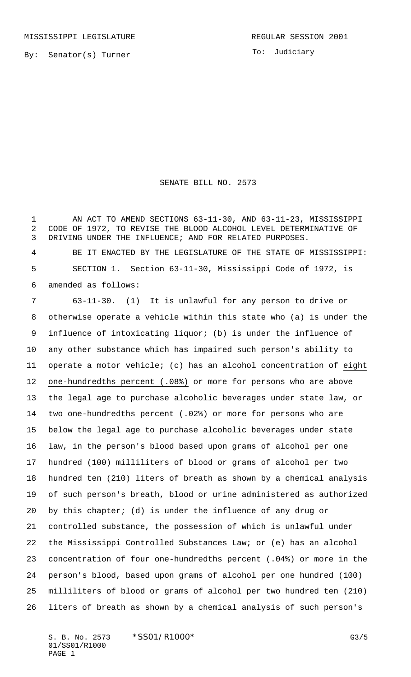To: Judiciary

## SENATE BILL NO. 2573

1 AN ACT TO AMEND SECTIONS 63-11-30, AND 63-11-23, MISSISSIPPI CODE OF 1972, TO REVISE THE BLOOD ALCOHOL LEVEL DETERMINATIVE OF DRIVING UNDER THE INFLUENCE; AND FOR RELATED PURPOSES. BE IT ENACTED BY THE LEGISLATURE OF THE STATE OF MISSISSIPPI:

 SECTION 1. Section 63-11-30, Mississippi Code of 1972, is amended as follows:

 63-11-30. (1) It is unlawful for any person to drive or otherwise operate a vehicle within this state who (a) is under the influence of intoxicating liquor; (b) is under the influence of any other substance which has impaired such person's ability to operate a motor vehicle; (c) has an alcohol concentration of eight one-hundredths percent (.08%) or more for persons who are above the legal age to purchase alcoholic beverages under state law, or two one-hundredths percent (.02%) or more for persons who are below the legal age to purchase alcoholic beverages under state law, in the person's blood based upon grams of alcohol per one hundred (100) milliliters of blood or grams of alcohol per two hundred ten (210) liters of breath as shown by a chemical analysis of such person's breath, blood or urine administered as authorized by this chapter; (d) is under the influence of any drug or controlled substance, the possession of which is unlawful under the Mississippi Controlled Substances Law; or (e) has an alcohol concentration of four one-hundredths percent (.04%) or more in the person's blood, based upon grams of alcohol per one hundred (100) milliliters of blood or grams of alcohol per two hundred ten (210) liters of breath as shown by a chemical analysis of such person's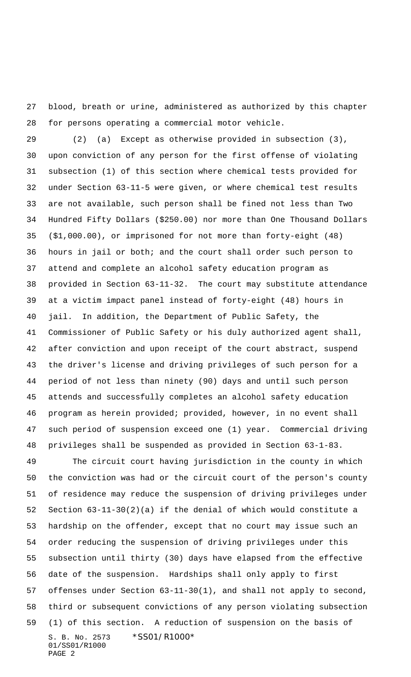blood, breath or urine, administered as authorized by this chapter for persons operating a commercial motor vehicle.

 (2) (a) Except as otherwise provided in subsection (3), upon conviction of any person for the first offense of violating subsection (1) of this section where chemical tests provided for under Section 63-11-5 were given, or where chemical test results are not available, such person shall be fined not less than Two Hundred Fifty Dollars (\$250.00) nor more than One Thousand Dollars (\$1,000.00), or imprisoned for not more than forty-eight (48) hours in jail or both; and the court shall order such person to attend and complete an alcohol safety education program as provided in Section 63-11-32. The court may substitute attendance at a victim impact panel instead of forty-eight (48) hours in jail. In addition, the Department of Public Safety, the Commissioner of Public Safety or his duly authorized agent shall, after conviction and upon receipt of the court abstract, suspend the driver's license and driving privileges of such person for a period of not less than ninety (90) days and until such person attends and successfully completes an alcohol safety education program as herein provided; provided, however, in no event shall such period of suspension exceed one (1) year. Commercial driving privileges shall be suspended as provided in Section 63-1-83.

S. B. No. 2573 \*SS01/R1000\* 01/SS01/R1000 PAGE 2 The circuit court having jurisdiction in the county in which the conviction was had or the circuit court of the person's county of residence may reduce the suspension of driving privileges under Section 63-11-30(2)(a) if the denial of which would constitute a hardship on the offender, except that no court may issue such an order reducing the suspension of driving privileges under this subsection until thirty (30) days have elapsed from the effective date of the suspension. Hardships shall only apply to first offenses under Section 63-11-30(1), and shall not apply to second, third or subsequent convictions of any person violating subsection (1) of this section. A reduction of suspension on the basis of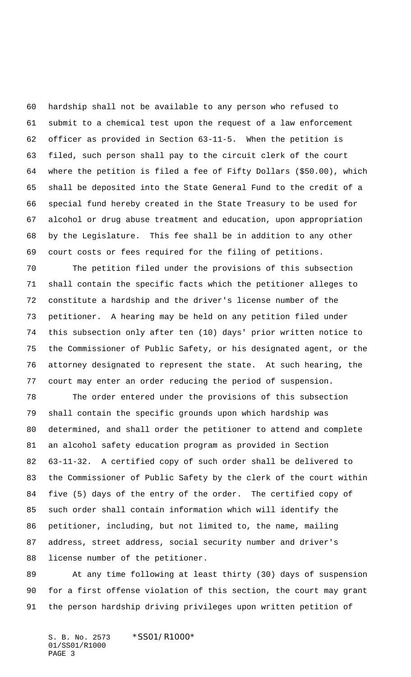hardship shall not be available to any person who refused to submit to a chemical test upon the request of a law enforcement officer as provided in Section 63-11-5. When the petition is filed, such person shall pay to the circuit clerk of the court where the petition is filed a fee of Fifty Dollars (\$50.00), which shall be deposited into the State General Fund to the credit of a special fund hereby created in the State Treasury to be used for alcohol or drug abuse treatment and education, upon appropriation by the Legislature. This fee shall be in addition to any other court costs or fees required for the filing of petitions.

 The petition filed under the provisions of this subsection shall contain the specific facts which the petitioner alleges to constitute a hardship and the driver's license number of the petitioner. A hearing may be held on any petition filed under this subsection only after ten (10) days' prior written notice to the Commissioner of Public Safety, or his designated agent, or the attorney designated to represent the state. At such hearing, the court may enter an order reducing the period of suspension.

 The order entered under the provisions of this subsection shall contain the specific grounds upon which hardship was determined, and shall order the petitioner to attend and complete an alcohol safety education program as provided in Section 63-11-32. A certified copy of such order shall be delivered to the Commissioner of Public Safety by the clerk of the court within five (5) days of the entry of the order. The certified copy of such order shall contain information which will identify the petitioner, including, but not limited to, the name, mailing address, street address, social security number and driver's license number of the petitioner.

 At any time following at least thirty (30) days of suspension for a first offense violation of this section, the court may grant the person hardship driving privileges upon written petition of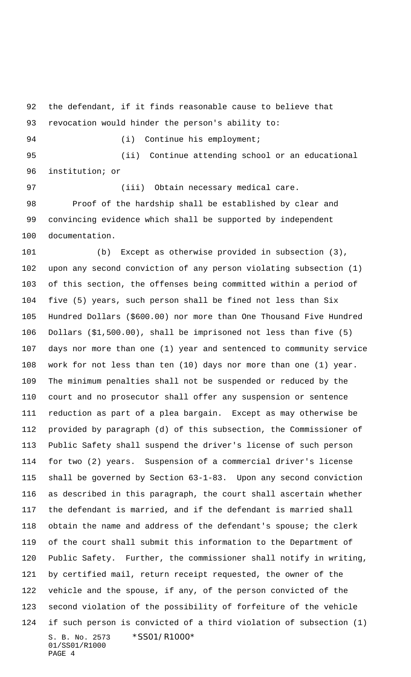the defendant, if it finds reasonable cause to believe that revocation would hinder the person's ability to:

94 (i) Continue his employment;

 (ii) Continue attending school or an educational institution; or

97 (iii) Obtain necessary medical care. Proof of the hardship shall be established by clear and convincing evidence which shall be supported by independent documentation.

S. B. No. 2573 \*SS01/R1000\* 01/SS01/R1000 PAGE 4 (b) Except as otherwise provided in subsection (3), upon any second conviction of any person violating subsection (1) of this section, the offenses being committed within a period of five (5) years, such person shall be fined not less than Six Hundred Dollars (\$600.00) nor more than One Thousand Five Hundred Dollars (\$1,500.00), shall be imprisoned not less than five (5) days nor more than one (1) year and sentenced to community service work for not less than ten (10) days nor more than one (1) year. The minimum penalties shall not be suspended or reduced by the court and no prosecutor shall offer any suspension or sentence reduction as part of a plea bargain. Except as may otherwise be provided by paragraph (d) of this subsection, the Commissioner of Public Safety shall suspend the driver's license of such person for two (2) years. Suspension of a commercial driver's license shall be governed by Section 63-1-83. Upon any second conviction as described in this paragraph, the court shall ascertain whether the defendant is married, and if the defendant is married shall obtain the name and address of the defendant's spouse; the clerk of the court shall submit this information to the Department of Public Safety. Further, the commissioner shall notify in writing, by certified mail, return receipt requested, the owner of the vehicle and the spouse, if any, of the person convicted of the second violation of the possibility of forfeiture of the vehicle if such person is convicted of a third violation of subsection (1)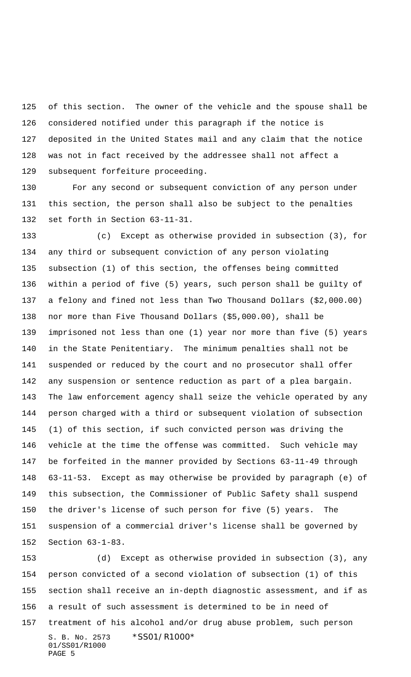of this section. The owner of the vehicle and the spouse shall be considered notified under this paragraph if the notice is deposited in the United States mail and any claim that the notice was not in fact received by the addressee shall not affect a subsequent forfeiture proceeding.

 For any second or subsequent conviction of any person under this section, the person shall also be subject to the penalties set forth in Section 63-11-31.

 (c) Except as otherwise provided in subsection (3), for any third or subsequent conviction of any person violating subsection (1) of this section, the offenses being committed within a period of five (5) years, such person shall be guilty of a felony and fined not less than Two Thousand Dollars (\$2,000.00) nor more than Five Thousand Dollars (\$5,000.00), shall be imprisoned not less than one (1) year nor more than five (5) years in the State Penitentiary. The minimum penalties shall not be suspended or reduced by the court and no prosecutor shall offer any suspension or sentence reduction as part of a plea bargain. The law enforcement agency shall seize the vehicle operated by any person charged with a third or subsequent violation of subsection (1) of this section, if such convicted person was driving the vehicle at the time the offense was committed. Such vehicle may be forfeited in the manner provided by Sections 63-11-49 through 63-11-53. Except as may otherwise be provided by paragraph (e) of this subsection, the Commissioner of Public Safety shall suspend the driver's license of such person for five (5) years. The suspension of a commercial driver's license shall be governed by Section 63-1-83.

S. B. No. 2573 \*SS01/R1000\* 01/SS01/R1000 PAGE 5 (d) Except as otherwise provided in subsection (3), any person convicted of a second violation of subsection (1) of this section shall receive an in-depth diagnostic assessment, and if as a result of such assessment is determined to be in need of treatment of his alcohol and/or drug abuse problem, such person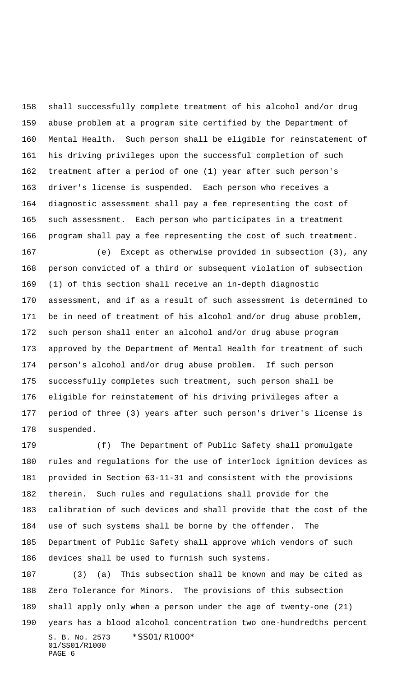shall successfully complete treatment of his alcohol and/or drug abuse problem at a program site certified by the Department of Mental Health. Such person shall be eligible for reinstatement of his driving privileges upon the successful completion of such treatment after a period of one (1) year after such person's driver's license is suspended. Each person who receives a diagnostic assessment shall pay a fee representing the cost of such assessment. Each person who participates in a treatment program shall pay a fee representing the cost of such treatment.

 (e) Except as otherwise provided in subsection (3), any person convicted of a third or subsequent violation of subsection (1) of this section shall receive an in-depth diagnostic assessment, and if as a result of such assessment is determined to be in need of treatment of his alcohol and/or drug abuse problem, such person shall enter an alcohol and/or drug abuse program approved by the Department of Mental Health for treatment of such person's alcohol and/or drug abuse problem. If such person successfully completes such treatment, such person shall be eligible for reinstatement of his driving privileges after a period of three (3) years after such person's driver's license is suspended.

 (f) The Department of Public Safety shall promulgate rules and regulations for the use of interlock ignition devices as provided in Section 63-11-31 and consistent with the provisions therein. Such rules and regulations shall provide for the calibration of such devices and shall provide that the cost of the use of such systems shall be borne by the offender. The Department of Public Safety shall approve which vendors of such devices shall be used to furnish such systems.

S. B. No. 2573 \*SS01/R1000\* 01/SS01/R1000 PAGE 6 (3) (a) This subsection shall be known and may be cited as Zero Tolerance for Minors. The provisions of this subsection shall apply only when a person under the age of twenty-one (21) years has a blood alcohol concentration two one-hundredths percent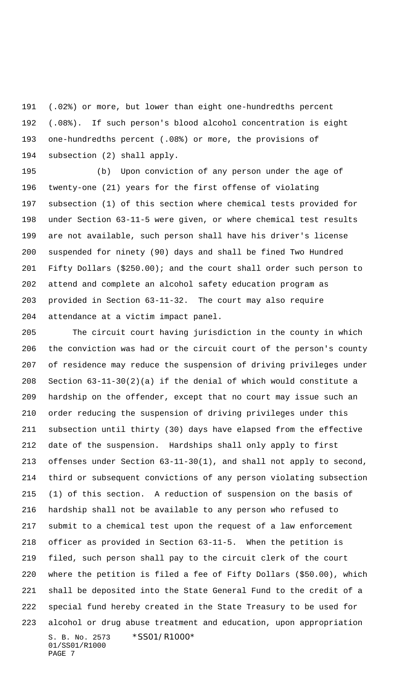(.02%) or more, but lower than eight one-hundredths percent (.08%). If such person's blood alcohol concentration is eight one-hundredths percent (.08%) or more, the provisions of subsection (2) shall apply.

 (b) Upon conviction of any person under the age of twenty-one (21) years for the first offense of violating subsection (1) of this section where chemical tests provided for under Section 63-11-5 were given, or where chemical test results are not available, such person shall have his driver's license suspended for ninety (90) days and shall be fined Two Hundred Fifty Dollars (\$250.00); and the court shall order such person to attend and complete an alcohol safety education program as provided in Section 63-11-32. The court may also require attendance at a victim impact panel.

S. B. No. 2573 \*SS01/R1000\* 01/SS01/R1000 PAGE 7 The circuit court having jurisdiction in the county in which the conviction was had or the circuit court of the person's county of residence may reduce the suspension of driving privileges under 208 Section  $63-11-30(2)(a)$  if the denial of which would constitute a hardship on the offender, except that no court may issue such an order reducing the suspension of driving privileges under this subsection until thirty (30) days have elapsed from the effective date of the suspension. Hardships shall only apply to first offenses under Section 63-11-30(1), and shall not apply to second, third or subsequent convictions of any person violating subsection (1) of this section. A reduction of suspension on the basis of hardship shall not be available to any person who refused to submit to a chemical test upon the request of a law enforcement officer as provided in Section 63-11-5. When the petition is filed, such person shall pay to the circuit clerk of the court where the petition is filed a fee of Fifty Dollars (\$50.00), which shall be deposited into the State General Fund to the credit of a special fund hereby created in the State Treasury to be used for alcohol or drug abuse treatment and education, upon appropriation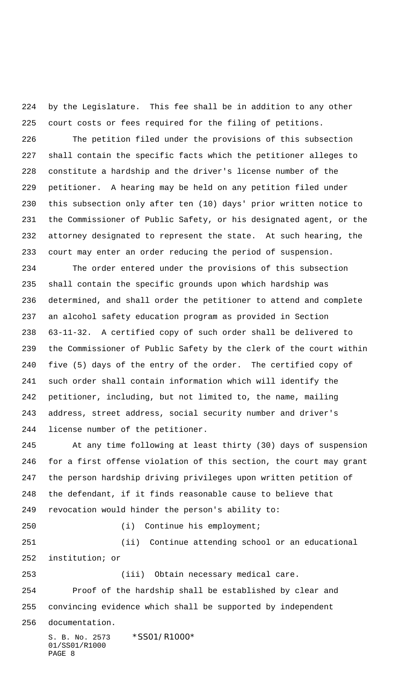by the Legislature. This fee shall be in addition to any other court costs or fees required for the filing of petitions.

 The petition filed under the provisions of this subsection shall contain the specific facts which the petitioner alleges to constitute a hardship and the driver's license number of the petitioner. A hearing may be held on any petition filed under this subsection only after ten (10) days' prior written notice to the Commissioner of Public Safety, or his designated agent, or the attorney designated to represent the state. At such hearing, the court may enter an order reducing the period of suspension.

 The order entered under the provisions of this subsection shall contain the specific grounds upon which hardship was determined, and shall order the petitioner to attend and complete an alcohol safety education program as provided in Section 63-11-32. A certified copy of such order shall be delivered to the Commissioner of Public Safety by the clerk of the court within five (5) days of the entry of the order. The certified copy of such order shall contain information which will identify the petitioner, including, but not limited to, the name, mailing address, street address, social security number and driver's license number of the petitioner.

 At any time following at least thirty (30) days of suspension for a first offense violation of this section, the court may grant the person hardship driving privileges upon written petition of the defendant, if it finds reasonable cause to believe that revocation would hinder the person's ability to:

(i) Continue his employment;

 (ii) Continue attending school or an educational institution; or

(iii) Obtain necessary medical care.

 Proof of the hardship shall be established by clear and convincing evidence which shall be supported by independent

documentation.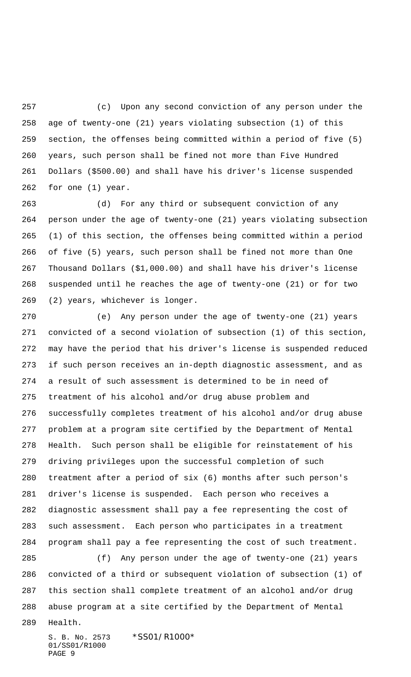(c) Upon any second conviction of any person under the age of twenty-one (21) years violating subsection (1) of this section, the offenses being committed within a period of five (5) years, such person shall be fined not more than Five Hundred Dollars (\$500.00) and shall have his driver's license suspended for one (1) year.

 (d) For any third or subsequent conviction of any person under the age of twenty-one (21) years violating subsection (1) of this section, the offenses being committed within a period of five (5) years, such person shall be fined not more than One Thousand Dollars (\$1,000.00) and shall have his driver's license suspended until he reaches the age of twenty-one (21) or for two (2) years, whichever is longer.

 (e) Any person under the age of twenty-one (21) years convicted of a second violation of subsection (1) of this section, may have the period that his driver's license is suspended reduced if such person receives an in-depth diagnostic assessment, and as a result of such assessment is determined to be in need of treatment of his alcohol and/or drug abuse problem and successfully completes treatment of his alcohol and/or drug abuse problem at a program site certified by the Department of Mental Health. Such person shall be eligible for reinstatement of his driving privileges upon the successful completion of such treatment after a period of six (6) months after such person's driver's license is suspended. Each person who receives a diagnostic assessment shall pay a fee representing the cost of such assessment. Each person who participates in a treatment program shall pay a fee representing the cost of such treatment.

 (f) Any person under the age of twenty-one (21) years convicted of a third or subsequent violation of subsection (1) of this section shall complete treatment of an alcohol and/or drug abuse program at a site certified by the Department of Mental

Health.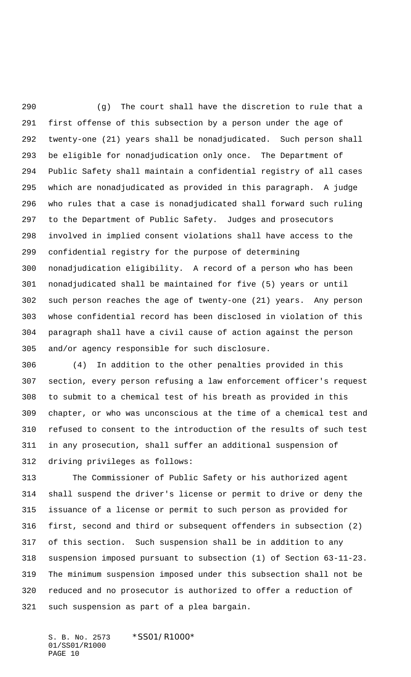(g) The court shall have the discretion to rule that a first offense of this subsection by a person under the age of twenty-one (21) years shall be nonadjudicated. Such person shall be eligible for nonadjudication only once. The Department of Public Safety shall maintain a confidential registry of all cases which are nonadjudicated as provided in this paragraph. A judge who rules that a case is nonadjudicated shall forward such ruling to the Department of Public Safety. Judges and prosecutors involved in implied consent violations shall have access to the confidential registry for the purpose of determining nonadjudication eligibility. A record of a person who has been nonadjudicated shall be maintained for five (5) years or until such person reaches the age of twenty-one (21) years. Any person whose confidential record has been disclosed in violation of this paragraph shall have a civil cause of action against the person and/or agency responsible for such disclosure.

 (4) In addition to the other penalties provided in this section, every person refusing a law enforcement officer's request to submit to a chemical test of his breath as provided in this chapter, or who was unconscious at the time of a chemical test and refused to consent to the introduction of the results of such test in any prosecution, shall suffer an additional suspension of driving privileges as follows:

 The Commissioner of Public Safety or his authorized agent shall suspend the driver's license or permit to drive or deny the issuance of a license or permit to such person as provided for first, second and third or subsequent offenders in subsection (2) of this section. Such suspension shall be in addition to any suspension imposed pursuant to subsection (1) of Section 63-11-23. The minimum suspension imposed under this subsection shall not be reduced and no prosecutor is authorized to offer a reduction of such suspension as part of a plea bargain.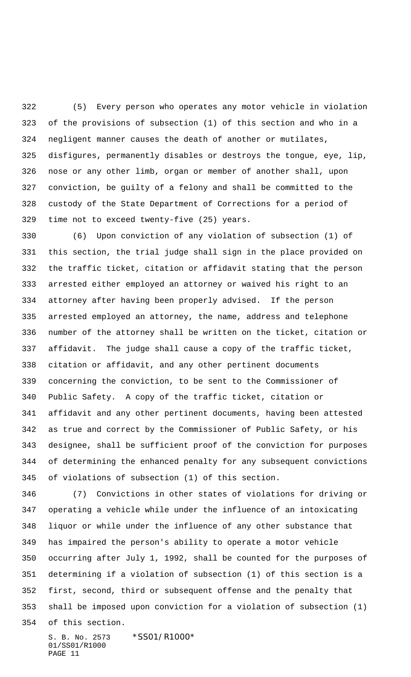(5) Every person who operates any motor vehicle in violation of the provisions of subsection (1) of this section and who in a negligent manner causes the death of another or mutilates, disfigures, permanently disables or destroys the tongue, eye, lip, nose or any other limb, organ or member of another shall, upon conviction, be guilty of a felony and shall be committed to the custody of the State Department of Corrections for a period of time not to exceed twenty-five (25) years.

 (6) Upon conviction of any violation of subsection (1) of this section, the trial judge shall sign in the place provided on the traffic ticket, citation or affidavit stating that the person arrested either employed an attorney or waived his right to an attorney after having been properly advised. If the person arrested employed an attorney, the name, address and telephone number of the attorney shall be written on the ticket, citation or affidavit. The judge shall cause a copy of the traffic ticket, citation or affidavit, and any other pertinent documents concerning the conviction, to be sent to the Commissioner of Public Safety. A copy of the traffic ticket, citation or affidavit and any other pertinent documents, having been attested as true and correct by the Commissioner of Public Safety, or his designee, shall be sufficient proof of the conviction for purposes of determining the enhanced penalty for any subsequent convictions of violations of subsection (1) of this section.

 (7) Convictions in other states of violations for driving or operating a vehicle while under the influence of an intoxicating liquor or while under the influence of any other substance that has impaired the person's ability to operate a motor vehicle occurring after July 1, 1992, shall be counted for the purposes of determining if a violation of subsection (1) of this section is a first, second, third or subsequent offense and the penalty that shall be imposed upon conviction for a violation of subsection (1) of this section.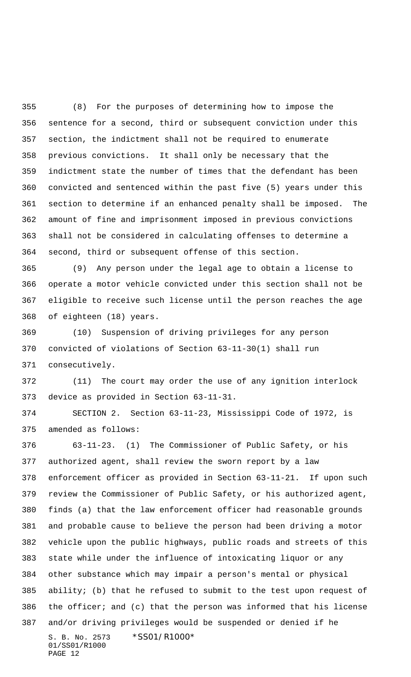(8) For the purposes of determining how to impose the sentence for a second, third or subsequent conviction under this section, the indictment shall not be required to enumerate previous convictions. It shall only be necessary that the indictment state the number of times that the defendant has been convicted and sentenced within the past five (5) years under this section to determine if an enhanced penalty shall be imposed. The amount of fine and imprisonment imposed in previous convictions shall not be considered in calculating offenses to determine a second, third or subsequent offense of this section.

 (9) Any person under the legal age to obtain a license to operate a motor vehicle convicted under this section shall not be eligible to receive such license until the person reaches the age of eighteen (18) years.

 (10) Suspension of driving privileges for any person convicted of violations of Section 63-11-30(1) shall run consecutively.

 (11) The court may order the use of any ignition interlock device as provided in Section 63-11-31.

 SECTION 2. Section 63-11-23, Mississippi Code of 1972, is amended as follows:

S. B. No. 2573 \*SS01/R1000\* 01/SS01/R1000 PAGE 12 63-11-23. (1) The Commissioner of Public Safety, or his authorized agent, shall review the sworn report by a law enforcement officer as provided in Section 63-11-21. If upon such review the Commissioner of Public Safety, or his authorized agent, finds (a) that the law enforcement officer had reasonable grounds and probable cause to believe the person had been driving a motor vehicle upon the public highways, public roads and streets of this state while under the influence of intoxicating liquor or any other substance which may impair a person's mental or physical ability; (b) that he refused to submit to the test upon request of the officer; and (c) that the person was informed that his license and/or driving privileges would be suspended or denied if he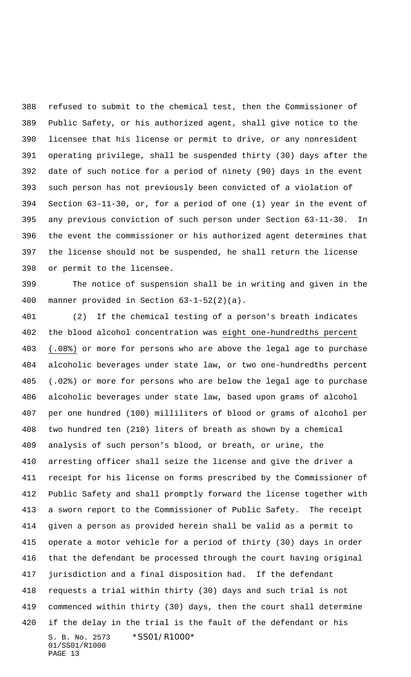refused to submit to the chemical test, then the Commissioner of Public Safety, or his authorized agent, shall give notice to the licensee that his license or permit to drive, or any nonresident operating privilege, shall be suspended thirty (30) days after the date of such notice for a period of ninety (90) days in the event such person has not previously been convicted of a violation of Section 63-11-30, or, for a period of one (1) year in the event of any previous conviction of such person under Section 63-11-30. In the event the commissioner or his authorized agent determines that the license should not be suspended, he shall return the license or permit to the licensee.

 The notice of suspension shall be in writing and given in the manner provided in Section 63-1-52(2)(a).

S. B. No. 2573 \*SS01/R1000\* 01/SS01/R1000 PAGE 13 (2) If the chemical testing of a person's breath indicates the blood alcohol concentration was eight one-hundredths percent (.08%) or more for persons who are above the legal age to purchase alcoholic beverages under state law, or two one-hundredths percent (.02%) or more for persons who are below the legal age to purchase alcoholic beverages under state law, based upon grams of alcohol per one hundred (100) milliliters of blood or grams of alcohol per two hundred ten (210) liters of breath as shown by a chemical analysis of such person's blood, or breath, or urine, the arresting officer shall seize the license and give the driver a receipt for his license on forms prescribed by the Commissioner of Public Safety and shall promptly forward the license together with a sworn report to the Commissioner of Public Safety. The receipt given a person as provided herein shall be valid as a permit to operate a motor vehicle for a period of thirty (30) days in order that the defendant be processed through the court having original jurisdiction and a final disposition had. If the defendant requests a trial within thirty (30) days and such trial is not commenced within thirty (30) days, then the court shall determine if the delay in the trial is the fault of the defendant or his